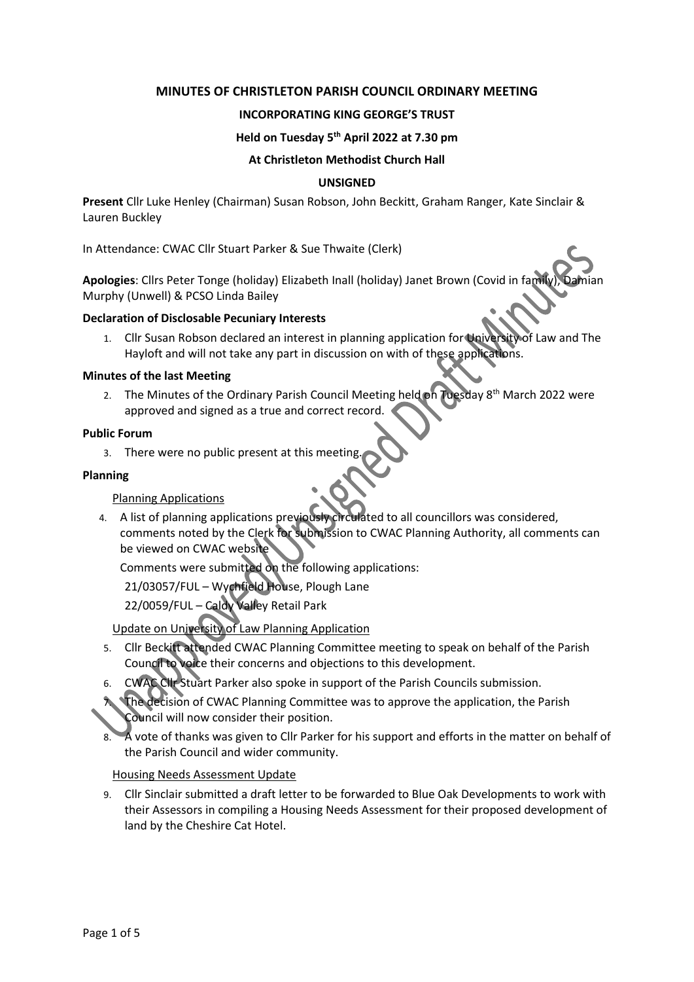# **MINUTES OF CHRISTLETON PARISH COUNCIL ORDINARY MEETING**

# **INCORPORATING KING GEORGE'S TRUST**

## **Held on Tuesday 5 th April 2022 at 7.30 pm**

### **At Christleton Methodist Church Hall**

### **UNSIGNED**

**Present** Cllr Luke Henley (Chairman) Susan Robson, John Beckitt, Graham Ranger, Kate Sinclair & Lauren Buckley

In Attendance: CWAC Cllr Stuart Parker & Sue Thwaite (Clerk)

Apologies: Cllrs Peter Tonge (holiday) Elizabeth Inall (holiday) Janet Brown (Covid in fam Murphy (Unwell) & PCSO Linda Bailey

#### **Declaration of Disclosable Pecuniary Interests**

1. Cllr Susan Robson declared an interest in planning application for University of Law and The Hayloft and will not take any part in discussion on with of these applications.

#### **Minutes of the last Meeting**

2. The Minutes of the Ordinary Parish Council Meeting held on Tuesday 8<sup>th</sup> March 2022 were approved and signed as a true and correct record.

### **Public Forum**

3. There were no public present at this meeting.

### **Planning**

## Planning Applications

4. A list of planning applications previously circulated to all councillors was considered, comments noted by the Clerk for submission to CWAC Planning Authority, all comments can be viewed on CWAC website

Comments were submitted on the following applications:

21/03057/FUL – Wychfield House, Plough Lane

22/0059/FUL – Caldy Valley Retail Park

Update on University of Law Planning Application

- 5. Cllr Beckitt attended CWAC Planning Committee meeting to speak on behalf of the Parish Council to voice their concerns and objections to this development.
- 6. CWAC Cllr Stuart Parker also spoke in support of the Parish Councils submission.
- 7. The decision of CWAC Planning Committee was to approve the application, the Parish Council will now consider their position.
- 8. A vote of thanks was given to Cllr Parker for his support and efforts in the matter on behalf of the Parish Council and wider community.

Housing Needs Assessment Update

9. Cllr Sinclair submitted a draft letter to be forwarded to Blue Oak Developments to work with their Assessors in compiling a Housing Needs Assessment for their proposed development of land by the Cheshire Cat Hotel.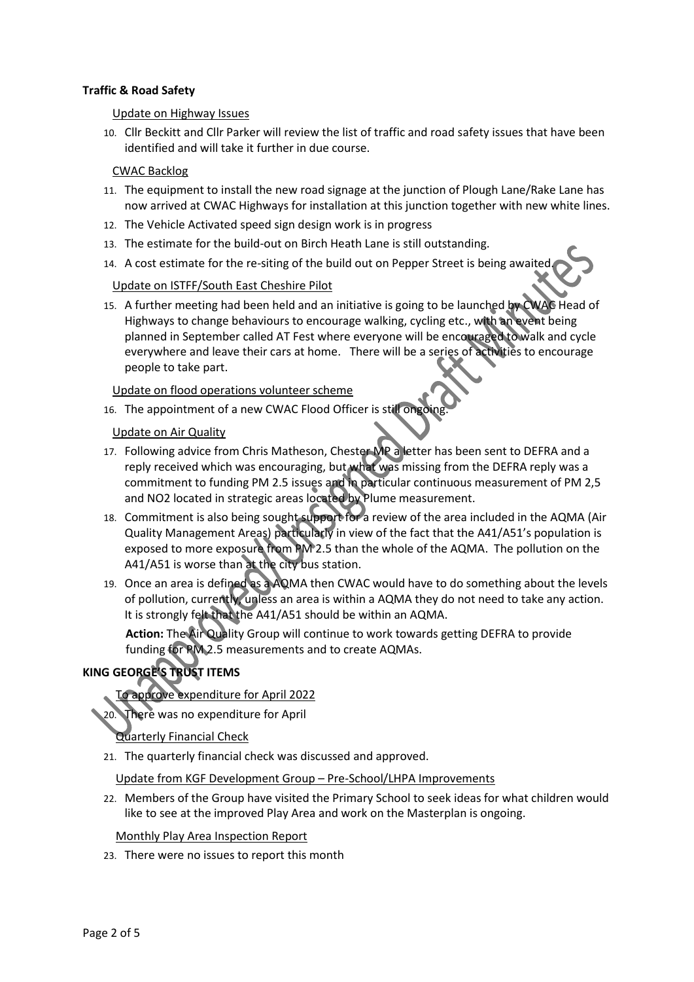# **Traffic & Road Safety**

### Update on Highway Issues

10. Cllr Beckitt and Cllr Parker will review the list of traffic and road safety issues that have been identified and will take it further in due course.

## CWAC Backlog

- 11. The equipment to install the new road signage at the junction of Plough Lane/Rake Lane has now arrived at CWAC Highways for installation at this junction together with new white lines.
- 12. The Vehicle Activated speed sign design work is in progress
- 13. The estimate for the build-out on Birch Heath Lane is still outstanding.
- 14. A cost estimate for the re-siting of the build out on Pepper Street is being awaited.

## Update on ISTFF/South East Cheshire Pilot

15. A further meeting had been held and an initiative is going to be launched by CWAC Head of Highways to change behaviours to encourage walking, cycling etc., with an event being planned in September called AT Fest where everyone will be encouraged to walk and cycle everywhere and leave their cars at home. There will be a series of activities to encourage people to take part.

Update on flood operations volunteer scheme

16. The appointment of a new CWAC Flood Officer is still ongoing.

# Update on Air Quality

- 17. Following advice from Chris Matheson, Chester MP a letter has been sent to DEFRA and a reply received which was encouraging, but what was missing from the DEFRA reply was a commitment to funding PM 2.5 issues and in particular continuous measurement of PM 2,5 and NO2 located in strategic areas located by Plume measurement.
- 18. Commitment is also being sought support for a review of the area included in the AQMA (Air Quality Management Areas) particularly in view of the fact that the A41/A51's population is exposed to more exposure from PM 2.5 than the whole of the AQMA. The pollution on the A41/A51 is worse than at the city bus station.
- 19. Once an area is defined as a AQMA then CWAC would have to do something about the levels of pollution, currently, unless an area is within a AQMA they do not need to take any action. It is strongly felt that the A41/A51 should be within an AQMA.

**Action:** The Air Quality Group will continue to work towards getting DEFRA to provide funding for PM 2.5 measurements and to create AQMAs.

# **KING GEORGE'S TRUST ITEMS**

# To approve expenditure for April 2022

There was no expenditure for April

## Quarterly Financial Check

21. The quarterly financial check was discussed and approved.

Update from KGF Development Group – Pre-School/LHPA Improvements

22. Members of the Group have visited the Primary School to seek ideas for what children would like to see at the improved Play Area and work on the Masterplan is ongoing.

Monthly Play Area Inspection Report

23. There were no issues to report this month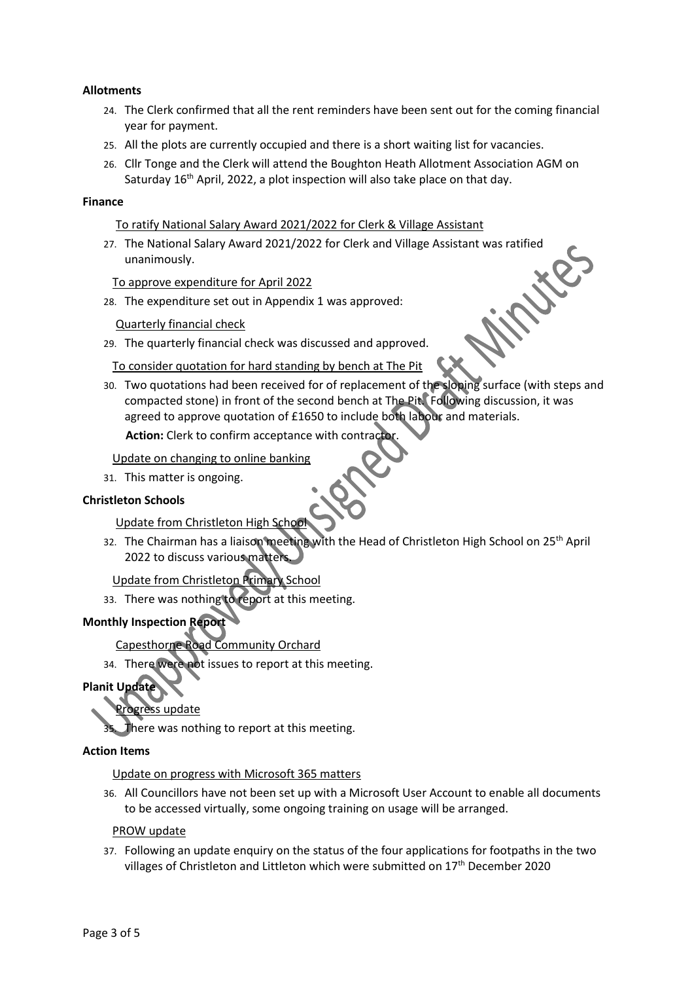# **Allotments**

- 24. The Clerk confirmed that all the rent reminders have been sent out for the coming financial year for payment.
- 25. All the plots are currently occupied and there is a short waiting list for vacancies.
- 26. Cllr Tonge and the Clerk will attend the Boughton Heath Allotment Association AGM on Saturday 16<sup>th</sup> April, 2022, a plot inspection will also take place on that day.

#### **Finance**

To ratify National Salary Award 2021/2022 for Clerk & Village Assistant

27. The National Salary Award 2021/2022 for Clerk and Village Assistant was ratified unanimously.

To approve expenditure for April 2022

28. The expenditure set out in Appendix 1 was approved:

Quarterly financial check

29. The quarterly financial check was discussed and approved.

To consider quotation for hard standing by bench at The Pit

30. Two quotations had been received for of replacement of the sloping surface (with steps and compacted stone) in front of the second bench at The Pit. Following discussion, it was agreed to approve quotation of £1650 to include both labour and materials.

**Action:** Clerk to confirm acceptance with contractor.

Update on changing to online banking

31. This matter is ongoing.

## **Christleton Schools**

Update from Christleton High School

32. The Chairman has a liaison meeting with the Head of Christleton High School on 25<sup>th</sup> April 2022 to discuss various matters.

Update from Christleton Primary School

33. There was nothing to report at this meeting.

# **Monthly Inspection Report**

Capesthorne Road Community Orchard

34. There were not issues to report at this meeting.

**Planit Update**

ss update

There was nothing to report at this meeting.

# **Action Items**

Update on progress with Microsoft 365 matters

36. All Councillors have not been set up with a Microsoft User Account to enable all documents to be accessed virtually, some ongoing training on usage will be arranged.

PROW update

37. Following an update enquiry on the status of the four applications for footpaths in the two villages of Christleton and Littleton which were submitted on 17<sup>th</sup> December 2020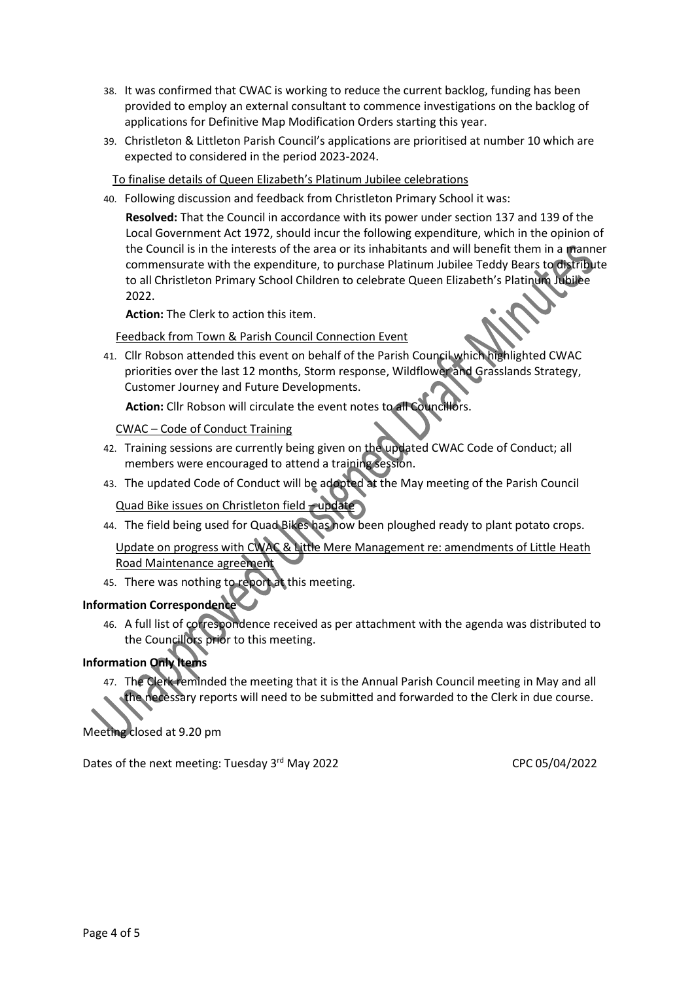- 38. It was confirmed that CWAC is working to reduce the current backlog, funding has been provided to employ an external consultant to commence investigations on the backlog of applications for Definitive Map Modification Orders starting this year.
- 39. Christleton & Littleton Parish Council's applications are prioritised at number 10 which are expected to considered in the period 2023-2024.

To finalise details of Queen Elizabeth's Platinum Jubilee celebrations

40. Following discussion and feedback from Christleton Primary School it was:

**Resolved:** That the Council in accordance with its power under section 137 and 139 of the Local Government Act 1972, should incur the following expenditure, which in the opinion of the Council is in the interests of the area or its inhabitants and will benefit them in a manner commensurate with the expenditure, to purchase Platinum Jubilee Teddy Bears to distribute to all Christleton Primary School Children to celebrate Queen Elizabeth's Platinum Jubilee 2022.

**Action:** The Clerk to action this item.

Feedback from Town & Parish Council Connection Event

41. Cllr Robson attended this event on behalf of the Parish Council which highlighted CWAC priorities over the last 12 months, Storm response, Wildflower and Grasslands Strategy, Customer Journey and Future Developments.

**Action:** Cllr Robson will circulate the event notes to all Councillors.

CWAC – Code of Conduct Training

- 42. Training sessions are currently being given on the updated CWAC Code of Conduct; all members were encouraged to attend a training session.
- 43. The updated Code of Conduct will be adopted at the May meeting of the Parish Council

Quad Bike issues on Christleton field – update

44. The field being used for Quad Bikes has now been ploughed ready to plant potato crops.

Update on progress with CWAC & Little Mere Management re: amendments of Little Heath Road Maintenance agreement

45. There was nothing to report at this meeting.

# **Information Correspondence**

46. A full list of correspondence received as per attachment with the agenda was distributed to the Councillors prior to this meeting.

# **Information Only Items**

47. The Clerk reminded the meeting that it is the Annual Parish Council meeting in May and all the necessary reports will need to be submitted and forwarded to the Clerk in due course.

Meeting closed at 9.20 pm

Dates of the next meeting: Tuesday 3<sup>rd</sup> May 2022 CPC 05/04/2022